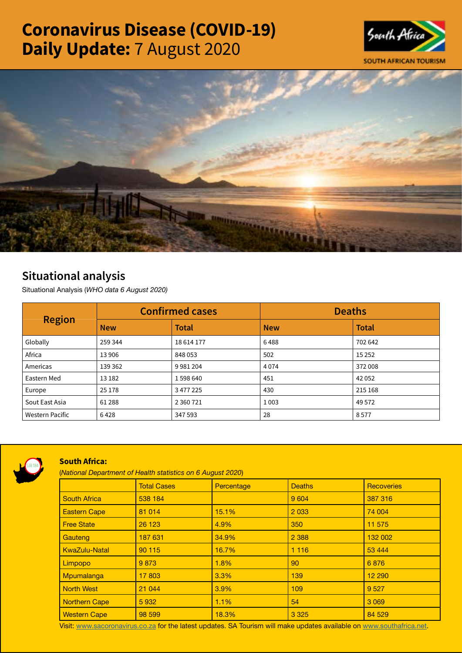# Coronavirus Disease (COVID-19) Daily Update: 7 August 2020





# Situational analysis

Situational Analysis (*WHO data 6 August 2020)*

| <b>Region</b>          | <b>Confirmed cases</b> |              | <b>Deaths</b> |              |
|------------------------|------------------------|--------------|---------------|--------------|
|                        | <b>New</b>             | <b>Total</b> | <b>New</b>    | <b>Total</b> |
| Globally               | 259 344                | 18 614 177   | 6488          | 702 642      |
| Africa                 | 13906                  | 848 053      | 502           | 15 2 5 2     |
| Americas               | 139 362                | 9981204      | 4074          | 372 008      |
| Eastern Med            | 13 18 2                | 1598640      | 451           | 42 0 52      |
| Europe                 | 25 1 78                | 3 477 225    | 430           | 215 168      |
| Sout East Asia         | 61 288                 | 2 3 6 7 2 1  | 1003          | 49 5 72      |
| <b>Western Pacific</b> | 6428                   | 347 593      | 28            | 8577         |



## South Africa:

(*National Department of Health statistics on 6 August 2020*)

|                      | <b>Total Cases</b> | Percentage | <b>Deaths</b> | <b>Recoveries</b> |  |
|----------------------|--------------------|------------|---------------|-------------------|--|
| <b>South Africa</b>  | 538 184            |            | 9 6 0 4       | 387 316           |  |
| <b>Eastern Cape</b>  | 81 014             | 15.1%      | 2 0 3 3       | 74 004            |  |
| <b>Free State</b>    | 26 1 23            | 4.9%       | 350           | 11 575            |  |
| Gauteng              | 187 631            | 34.9%      | 2 3 8 8       | 132 002           |  |
| <b>KwaZulu-Natal</b> | 90 115             | 16.7%      | 1 1 1 6       | 53 4 44           |  |
| Limpopo              | 9873               | 1.8%       | 90            | 6876              |  |
| Mpumalanga           | 17 803             | 3.3%       | 139           | 12 290            |  |
| <b>North West</b>    | 21 044             | $3.9\%$    | 109           | 9 5 27            |  |
| <b>Northern Cape</b> | 5932               | 1.1%       | 54            | 3 0 6 9           |  |
| <b>Western Cape</b>  | 98 599             | 18.3%      | 3 3 2 5       | 84 529            |  |

Visit: [www.sacoronavirus.co.za](http://www.sacoronavirus.co.za) for the latest updates. SA Tourism will make updates available on [www.southafrica.net.](http://www.southafrica.net)